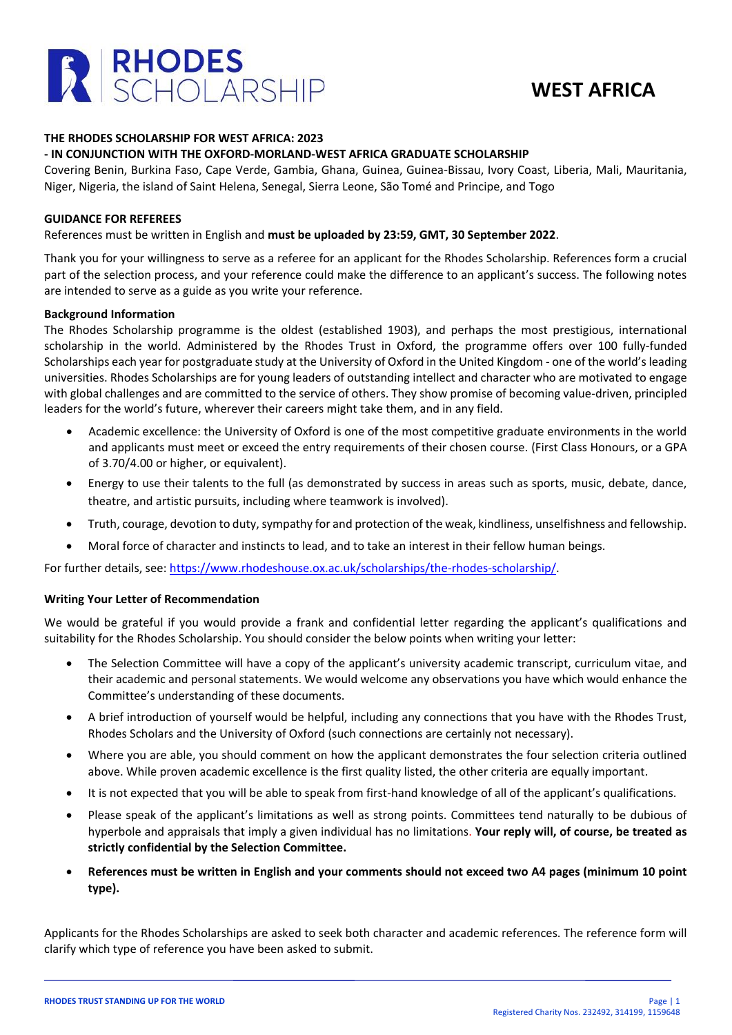

# **WEST AFRICA**

#### **THE RHODES SCHOLARSHIP FOR WEST AFRICA: 2023**

### **- IN CONJUNCTION WITH THE OXFORD-MORLAND-WEST AFRICA GRADUATE SCHOLARSHIP**

Covering Benin, Burkina Faso, Cape Verde, Gambia, Ghana, Guinea, Guinea-Bissau, Ivory Coast, Liberia, Mali, Mauritania, Niger, Nigeria, the island of Saint Helena, Senegal, Sierra Leone, São Tomé and Principe, and Togo

#### **GUIDANCE FOR REFEREES**

### References must be written in English and **must be uploaded by 23:59, GMT, 30 September 2022**.

Thank you for your willingness to serve as a referee for an applicant for the Rhodes Scholarship. References form a crucial part of the selection process, and your reference could make the difference to an applicant's success. The following notes are intended to serve as a guide as you write your reference.

### **Background Information**

The Rhodes Scholarship programme is the oldest (established 1903), and perhaps the most prestigious, international scholarship in the world. Administered by the Rhodes Trust in Oxford, the programme offers over 100 fully-funded Scholarships each year for postgraduate study at the University of Oxford in the United Kingdom - one of the world's leading universities. Rhodes Scholarships are for young leaders of outstanding intellect and character who are motivated to engage with global challenges and are committed to the service of others. They show promise of becoming value-driven, principled leaders for the world's future, wherever their careers might take them, and in any field.

- Academic excellence: the University of Oxford is one of the most competitive graduate environments in the world and applicants must meet or exceed the entry requirements of their chosen course. (First Class Honours, or a GPA of 3.70/4.00 or higher, or equivalent).
- Energy to use their talents to the full (as demonstrated by success in areas such as sports, music, debate, dance, theatre, and artistic pursuits, including where teamwork is involved).
- Truth, courage, devotion to duty, sympathy for and protection of the weak, kindliness, unselfishness and fellowship.
- Moral force of character and instincts to lead, and to take an interest in their fellow human beings.

For further details, see: [https://www.rhodeshouse.ox.ac.uk/scholarships/the-rhodes-scholarship/.](https://www.rhodeshouse.ox.ac.uk/scholarships/the-rhodes-scholarship/)

### **Writing Your Letter of Recommendation**

We would be grateful if you would provide a frank and confidential letter regarding the applicant's qualifications and suitability for the Rhodes Scholarship. You should consider the below points when writing your letter:

- The Selection Committee will have a copy of the applicant's university academic transcript, curriculum vitae, and their academic and personal statements. We would welcome any observations you have which would enhance the Committee's understanding of these documents.
- A brief introduction of yourself would be helpful, including any connections that you have with the Rhodes Trust, Rhodes Scholars and the University of Oxford (such connections are certainly not necessary).
- Where you are able, you should comment on how the applicant demonstrates the four selection criteria outlined above. While proven academic excellence is the first quality listed, the other criteria are equally important.
- It is not expected that you will be able to speak from first-hand knowledge of all of the applicant's qualifications.
- Please speak of the applicant's limitations as well as strong points. Committees tend naturally to be dubious of hyperbole and appraisals that imply a given individual has no limitations. **Your reply will, of course, be treated as strictly confidential by the Selection Committee.**
- **References must be written in English and your comments should not exceed two A4 pages (minimum 10 point type).**

Applicants for the Rhodes Scholarships are asked to seek both character and academic references. The reference form will clarify which type of reference you have been asked to submit.